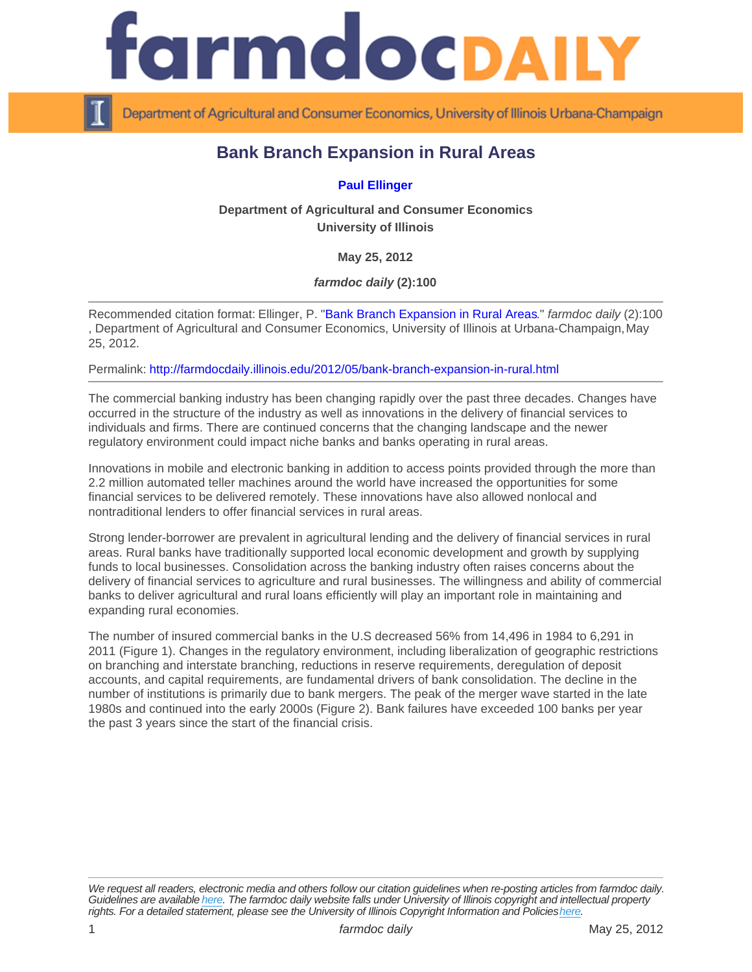## Bank Branch Expansion in Rural Areas

## [Paul Ellinger](http://farmdoc.illinois.edu/ellinger)

Department of Agricultural and Consumer Economics University of Illinois

May 25, 2012

farmdoc daily (2):100

Recommended citation format: Ellinger, P. "[Bank Branch Expansion in Rural Areas](http://farmdocdaily.illinois.edu/2012/05/bank-branch-expansion-in-rural.html)." farmdoc daily (2):100 , Department of Agricultural and Consumer Economics, University of Illinois at Urbana-Champaign, May 25, 2012.

Permalink:<http://farmdocdaily.illinois.edu/2012/05/bank-branch-expansion-in-rural.html>

The commercial banking industry has been changing rapidly over the past three decades. Changes have occurred in the structure of the industry as well as innovations in the delivery of financial services to individuals and firms. There are continued concerns that the changing landscape and the newer regulatory environment could impact niche banks and banks operating in rural areas.

Innovations in mobile and electronic banking in addition to access points provided through the more than 2.2 million automated teller machines around the world have increased the opportunities for some financial services to be delivered remotely. These innovations have also allowed nonlocal and nontraditional lenders to offer financial services in rural areas.

Strong lender-borrower are prevalent in agricultural lending and the delivery of financial services in rural areas. Rural banks have traditionally supported local economic development and growth by supplying funds to local businesses. Consolidation across the banking industry often raises concerns about the delivery of financial services to agriculture and rural businesses. The willingness and ability of commercial banks to deliver agricultural and rural loans efficiently will play an important role in maintaining and expanding rural economies.

The number of insured commercial banks in the U.S decreased 56% from 14,496 in 1984 to 6,291 in 2011 (Figure 1). Changes in the regulatory environment, including liberalization of geographic restrictions on branching and interstate branching, reductions in reserve requirements, deregulation of deposit accounts, and capital requirements, are fundamental drivers of bank consolidation. The decline in the number of institutions is primarily due to bank mergers. The peak of the merger wave started in the late 1980s and continued into the early 2000s (Figure 2). Bank failures have exceeded 100 banks per year the past 3 years since the start of the financial crisis.

We request all readers, electronic media and others follow our citation guidelines when re-posting articles from farmdoc daily. Guidelines are available [here](http://farmdocdaily.illinois.edu/citationguide.html). The farmdoc daily website falls under University of Illinois copyright and intellectual property rights. For a detailed statement, please see the University of Illinois Copyright Information and Policies [here.](https://techservices.illinois.edu/office-cio)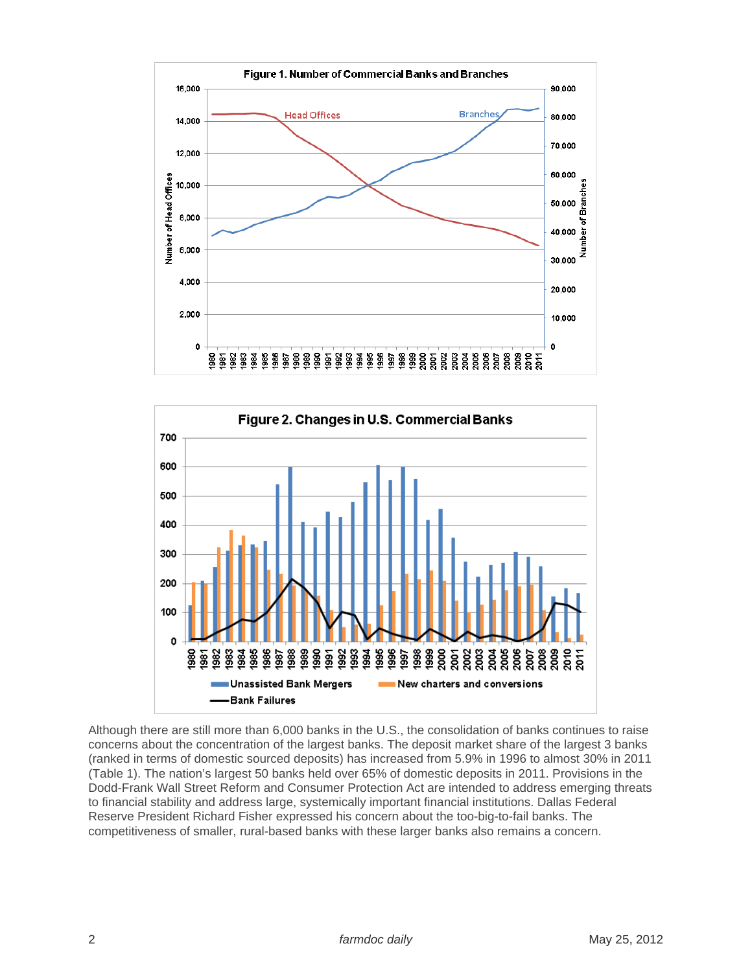



Although there are still more than 6,000 banks in the U.S., the consolidation of banks continues to raise concerns about the concentration of the largest banks. The deposit market share of the largest 3 banks (ranked in terms of domestic sourced deposits) has increased from 5.9% in 1996 to almost 30% in 2011 (Table 1). The nation's largest 50 banks held over 65% of domestic deposits in 2011. Provisions in the Dodd-Frank Wall Street Reform and Consumer Protection Act are intended to address emerging threats to financial stability and address large, systemically important financial institutions. Dallas Federal Reserve President Richard Fisher expressed his concern about the too-big-to-fail banks. The competitiveness of smaller, rural-based banks with these larger banks also remains a concern.